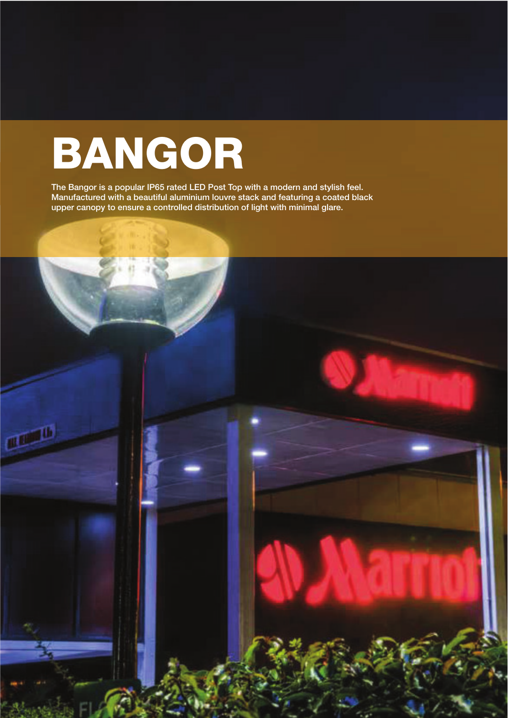## BANGOR

The Bangor is a popular IP65 rated LED Post Top with a modern and stylish feel. Manufactured with a beautiful aluminium louvre stack and featuring a coated black upper canopy to ensure a controlled distribution of light with minimal glare.